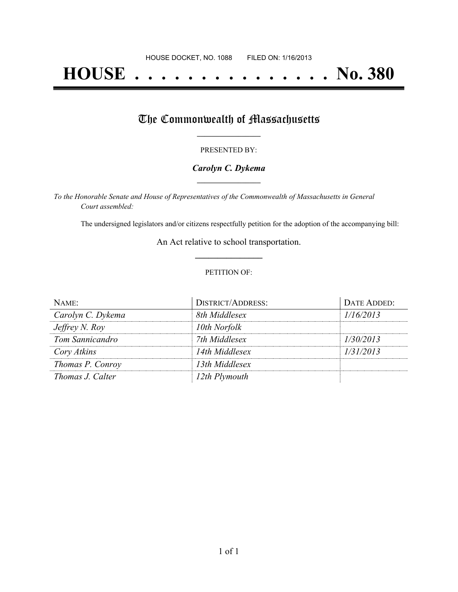# **HOUSE . . . . . . . . . . . . . . . No. 380**

## The Commonwealth of Massachusetts

#### PRESENTED BY:

#### *Carolyn C. Dykema* **\_\_\_\_\_\_\_\_\_\_\_\_\_\_\_\_\_**

*To the Honorable Senate and House of Representatives of the Commonwealth of Massachusetts in General Court assembled:*

The undersigned legislators and/or citizens respectfully petition for the adoption of the accompanying bill:

An Act relative to school transportation. **\_\_\_\_\_\_\_\_\_\_\_\_\_\_\_**

#### PETITION OF:

| NAME:             | <b>DISTRICT/ADDRESS:</b> | DATE ADDED: |
|-------------------|--------------------------|-------------|
| Carolyn C. Dykema | 8th Middlesex            | 1/16/2013   |
| Jeffrey N. Roy    | 10th Norfolk             |             |
| Tom Sannicandro   | 7th Middlesex            | 1/30/2013   |
| Cory Atkins       | 14th Middlesex           | 1/31/2013   |
| Thomas P. Conroy  | 13th Middlesex           |             |
| Thomas J. Calter  | 12th Plymouth            |             |